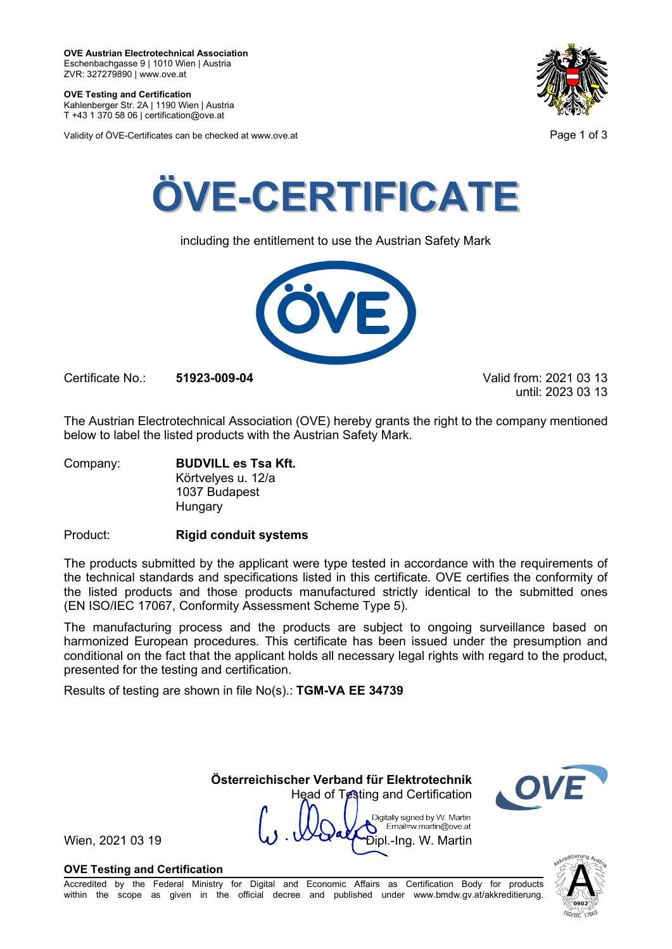**OVE Testing and Certification** Kahlenberger Str. 2A | 1190 Wien | Austria

T +43 1 370 58 06 | certification@ove.at

Validity of ÖVE-Certificates can be checked at www.ove.at **Page 1 of 3** Page 1 of 3





including the entitlement to use the Austrian Safety Mark



Certificate No.: **51923-009-04** Valid from: 2021 03 13

until: 2023 03 13

The Austrian Electrotechnical Association (OVE) hereby grants the right to the company mentioned below to label the listed products with the Austrian Safety Mark.

Company: **BUDVILL es Tsa Kft.** Körtvelyes u. 12/a 1037 Budapest Hungary

Product: **Rigid conduit systems**

The products submitted by the applicant were type tested in accordance with the requirements of the technical standards and specifications listed in this certificate. OVE certifies the conformity of the listed products and those products manufactured strictly identical to the submitted ones (EN ISO/IEC 17067, Conformity Assessment Scheme Type 5).

The manufacturing process and the products are subject to ongoing surveillance based on harmonized European procedures. This certificate has been issued under the presumption and conditional on the fact that the applicant holds all necessary legal rights with regard to the product, presented for the testing and certification.

Results of testing are shown in file No(s).: **TGM-VA EE 34739**

 **Österreichischer Verband für Elektrotechnik** Head of Testing and Certification Digitally signed by W. Martin Email=w.martin@ove.at

Wien, 2021 03 19  $\mathbf{W} \cdot \mathbf{W}$   $\mathbf{W}$   $\mathbf{W}$   $\mathbf{D}$   $\mathbf{p}$   $\mathbf{L}$   $\mathbf{P}$   $\mathbf{D}$   $\mathbf{p}$   $\mathbf{L}$   $\mathbf{P}$   $\mathbf{S}$   $\mathbf{R}$   $\mathbf{S}$   $\mathbf{R}$   $\mathbf{S}$   $\mathbf{S}$   $\mathbf{S}$   $\mathbf{S}$   $\mathbf{S}$   $\mathbf{S}$   $\mathbf{S}$ 

## **OVE Testing and Certification**

Accredited by the Federal Ministry for Digital and Economic Affairs as Certification Body for products within the scope as given in the official decree and published under www.bmdw.gv.at/akkreditierung.

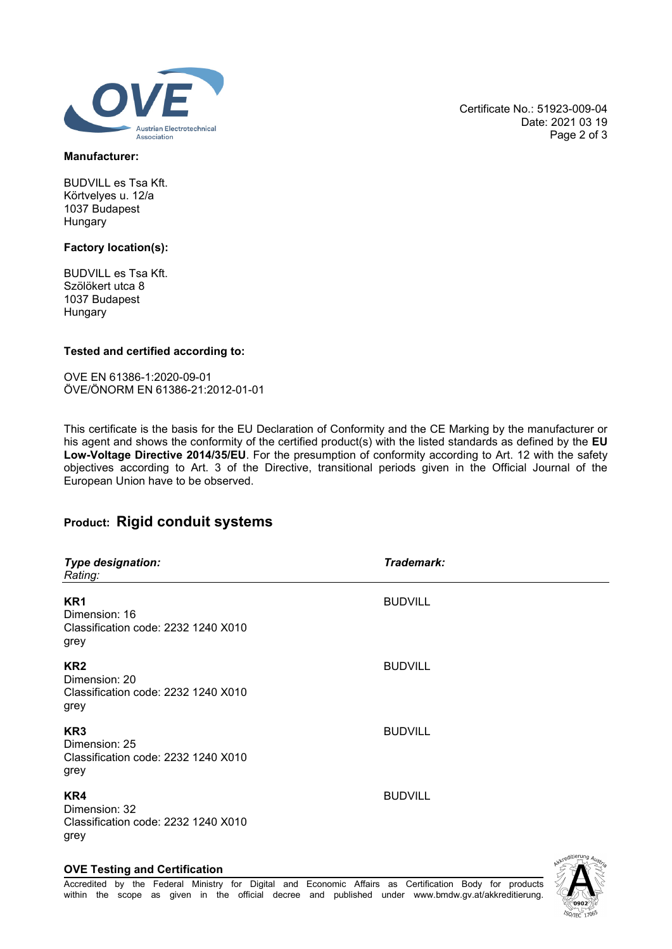

Certificate No.: 51923-009-04 Date: 2021 03 19 Page 2 of 3

## **Manufacturer:**

BUDVILL es Tsa Kft. Körtvelyes u. 12/a 1037 Budapest Hungary

## **Factory location(s):**

BUDVILL es Tsa Kft. Szölökert utca 8 1037 Budapest Hungary

## **Tested and certified according to:**

OVE EN 61386-1:2020-09-01 ÖVE/ÖNORM EN 61386-21:2012-01-01

This certificate is the basis for the EU Declaration of Conformity and the CE Marking by the manufacturer or his agent and shows the conformity of the certified product(s) with the listed standards as defined by the **EU Low-Voltage Directive 2014/35/EU**. For the presumption of conformity according to Art. 12 with the safety objectives according to Art. 3 of the Directive, transitional periods given in the Official Journal of the European Union have to be observed.

# **Product: Rigid conduit systems**

| <b>Type designation:</b><br>Rating:                                             | Trademark:     |
|---------------------------------------------------------------------------------|----------------|
| KR <sub>1</sub><br>Dimension: 16<br>Classification code: 2232 1240 X010<br>grey | <b>BUDVILL</b> |
| KR <sub>2</sub><br>Dimension: 20<br>Classification code: 2232 1240 X010<br>grey | <b>BUDVILL</b> |
| KR <sub>3</sub><br>Dimension: 25<br>Classification code: 2232 1240 X010<br>grey | <b>BUDVILL</b> |
| KR4<br>Dimension: 32<br>Classification code: 2232 1240 X010<br>grey             | <b>BUDVILL</b> |

### **OVE Testing and Certification**